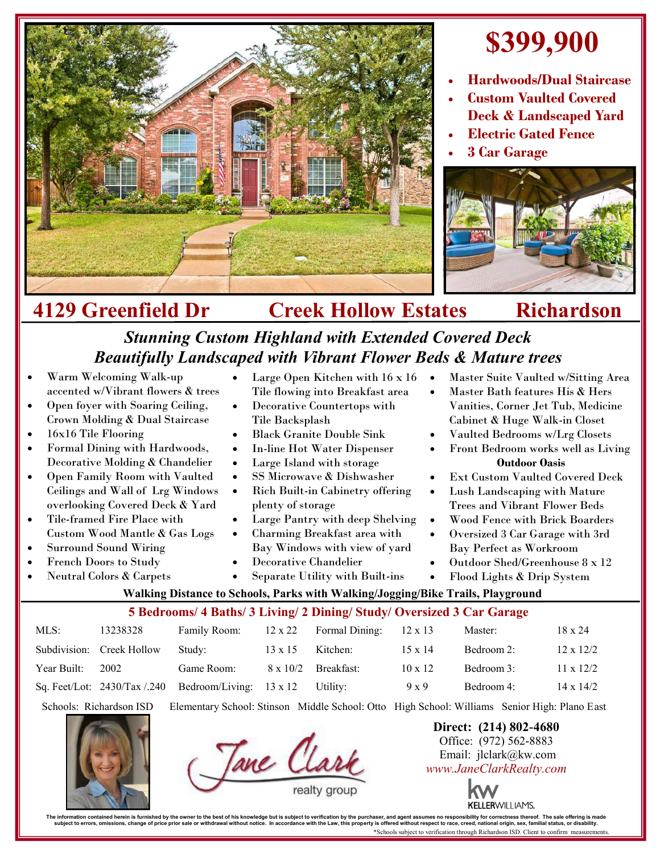

## **\$399,900**

- **Hardwoods/Dual Staircase**
- **Custom Vaulted Covered Deck & Landscaped Yard**
- **Electric Gated Fence**
- **3 Car Garage**



## **4129 Greenfield Dr Creek Hollow Estates Richardson**

## *Stunning Custom Highland with Extended Covered Deck Beautifully Landscaped with Vibrant Flower Beds & Mature trees*

Large Open Kitchen with 16 x 16 . Tile flowing into Breakfast area Decorative Countertops with

- Warm Welcoming Walk-up accented w/Vibrant flowers & trees
- Open foyer with Soaring Ceiling, Crown Molding & Dual Staircase
- 16x16 Tile Flooring
- Formal Dining with Hardwoods, Decorative Molding & Chandelier
- Open Family Room with Vaulted Ceilings and Wall of Lrg Windows overlooking Covered Deck & Yard
- Tile-framed Fire Place with Custom Wood Mantle & Gas Logs
- Surround Sound Wiring
- French Doors to Study
- Neutral Colors & Carpets
- Large Island with storage • SS Microwave & Dishwasher • Rich Built-in Cabinetry offering
- plenty of storage
- Large Pantry with deep Shelving
- Charming Breakfast area with Bay Windows with view of yard
- Decorative Chandelier

Tile Backsplash

 Black Granite Double Sink In-line Hot Water Dispenser

Separate Utility with Built-ins

- Master Suite Vaulted w/Sitting Area
- Master Bath features His & Hers Vanities, Corner Jet Tub, Medicine Cabinet & Huge Walk-in Closet
- Vaulted Bedrooms w/Lrg Closets
- Front Bedroom works well as Living **Outdoor Oasis**
- Ext Custom Vaulted Covered Deck
- Lush Landscaping with Mature Trees and Vibrant Flower Beds
- Wood Fence with Brick Boarders
- Oversized 3 Car Garage with 3rd Bay Perfect as Workroom
- Outdoor Shed/Greenhouse 8 x 12
- Flood Lights & Drip System
- **Walking Distance to Schools, Parks with Walking/Jogging/Bike Trails, Playground**

## **5 Bedrooms/ 4 Baths/ 3 Living/ 2 Dining/ Study/ Oversized 3 Car Garage**

| MLS:        | 13238328                  | Family Room:                                            | $12 \times 22$ | Formal Dining:             | $12 \times 13$ | Master:    | $18 \times 24$   |
|-------------|---------------------------|---------------------------------------------------------|----------------|----------------------------|----------------|------------|------------------|
|             | Subdivision: Creek Hollow | Studv:                                                  | $13 \times 15$ | Kitchen:                   | $15 \times 14$ | Bedroom 2: | $12 \times 12/2$ |
| Year Built: | 2002                      | Game Room:                                              |                | $8 \times 10/2$ Breakfast: | $10 \times 12$ | Bedroom 3: | $11 \times 12/2$ |
|             |                           | Sq. Feet/Lot: $2430$ /Tax /.240 Bedroom/Living: 13 x 12 |                | Utility:                   | $9 \times 9$   | Bedroom 4: | $14 \times 14/2$ |

Schools: Richardson ISD Elementary School: Stinson Middle School: Otto High School: Williams Senior High: Plano East

Tane Clar

**Direct: (214) 802-4680** Office: (972) 562-8883 Email: jlclark@kw.com *www.JaneClarkRealty.com*



The information contained heren is furnished by the owner to the best of his knowledge but is usuplect to verification by the purchaser, and agent assumes no responsibility for corrections then incompted in accordance with \*Schools subject to verification through Richardson ISD. Client to confirm measurem